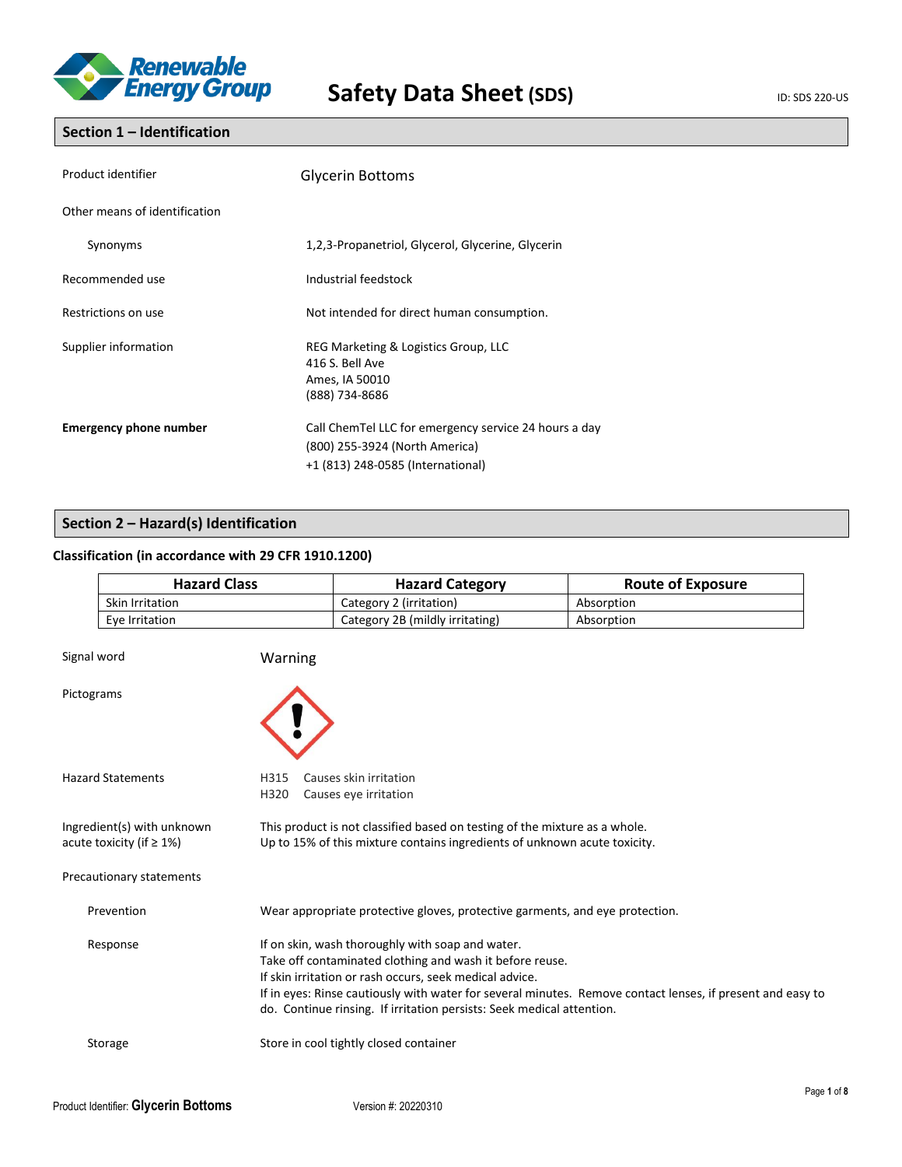

## **Section 1 – Identification**

| Product identifier            | <b>Glycerin Bottoms</b>                                                                                                      |
|-------------------------------|------------------------------------------------------------------------------------------------------------------------------|
| Other means of identification |                                                                                                                              |
| Synonyms                      | 1,2,3-Propanetriol, Glycerol, Glycerine, Glycerin                                                                            |
| Recommended use               | Industrial feedstock                                                                                                         |
| Restrictions on use           | Not intended for direct human consumption.                                                                                   |
| Supplier information          | REG Marketing & Logistics Group, LLC<br>416 S. Bell Ave<br>Ames, IA 50010<br>(888) 734-8686                                  |
| <b>Emergency phone number</b> | Call ChemTel LLC for emergency service 24 hours a day<br>(800) 255-3924 (North America)<br>+1 (813) 248-0585 (International) |

## **Section 2 – Hazard(s) Identification**

## **Classification (in accordance with 29 CFR 1910.1200)**

|                                                                                                                                                                                                                          | <b>Hazard Class</b>      |              | <b>Hazard Category</b>                                                                                                                                                                                                                           | <b>Route of Exposure</b>                                                                                   |
|--------------------------------------------------------------------------------------------------------------------------------------------------------------------------------------------------------------------------|--------------------------|--------------|--------------------------------------------------------------------------------------------------------------------------------------------------------------------------------------------------------------------------------------------------|------------------------------------------------------------------------------------------------------------|
|                                                                                                                                                                                                                          | Skin Irritation          |              | Category 2 (irritation)                                                                                                                                                                                                                          | Absorption                                                                                                 |
|                                                                                                                                                                                                                          | Eye Irritation           |              | Category 2B (mildly irritating)                                                                                                                                                                                                                  | Absorption                                                                                                 |
|                                                                                                                                                                                                                          | Signal word              | Warning      |                                                                                                                                                                                                                                                  |                                                                                                            |
|                                                                                                                                                                                                                          | Pictograms               |              |                                                                                                                                                                                                                                                  |                                                                                                            |
|                                                                                                                                                                                                                          | <b>Hazard Statements</b> | H315<br>H320 | Causes skin irritation<br>Causes eye irritation                                                                                                                                                                                                  |                                                                                                            |
| Ingredient(s) with unknown<br>This product is not classified based on testing of the mixture as a whole.<br>Up to 15% of this mixture contains ingredients of unknown acute toxicity.<br>acute toxicity (if $\geq 1\%$ ) |                          |              |                                                                                                                                                                                                                                                  |                                                                                                            |
|                                                                                                                                                                                                                          | Precautionary statements |              |                                                                                                                                                                                                                                                  |                                                                                                            |
|                                                                                                                                                                                                                          | Prevention               |              | Wear appropriate protective gloves, protective garments, and eye protection.                                                                                                                                                                     |                                                                                                            |
|                                                                                                                                                                                                                          | Response                 |              | If on skin, wash thoroughly with soap and water.<br>Take off contaminated clothing and wash it before reuse.<br>If skin irritation or rash occurs, seek medical advice.<br>do. Continue rinsing. If irritation persists: Seek medical attention. | If in eyes: Rinse cautiously with water for several minutes. Remove contact lenses, if present and easy to |
|                                                                                                                                                                                                                          | Storage                  |              | Store in cool tightly closed container                                                                                                                                                                                                           |                                                                                                            |
|                                                                                                                                                                                                                          |                          |              |                                                                                                                                                                                                                                                  | Page                                                                                                       |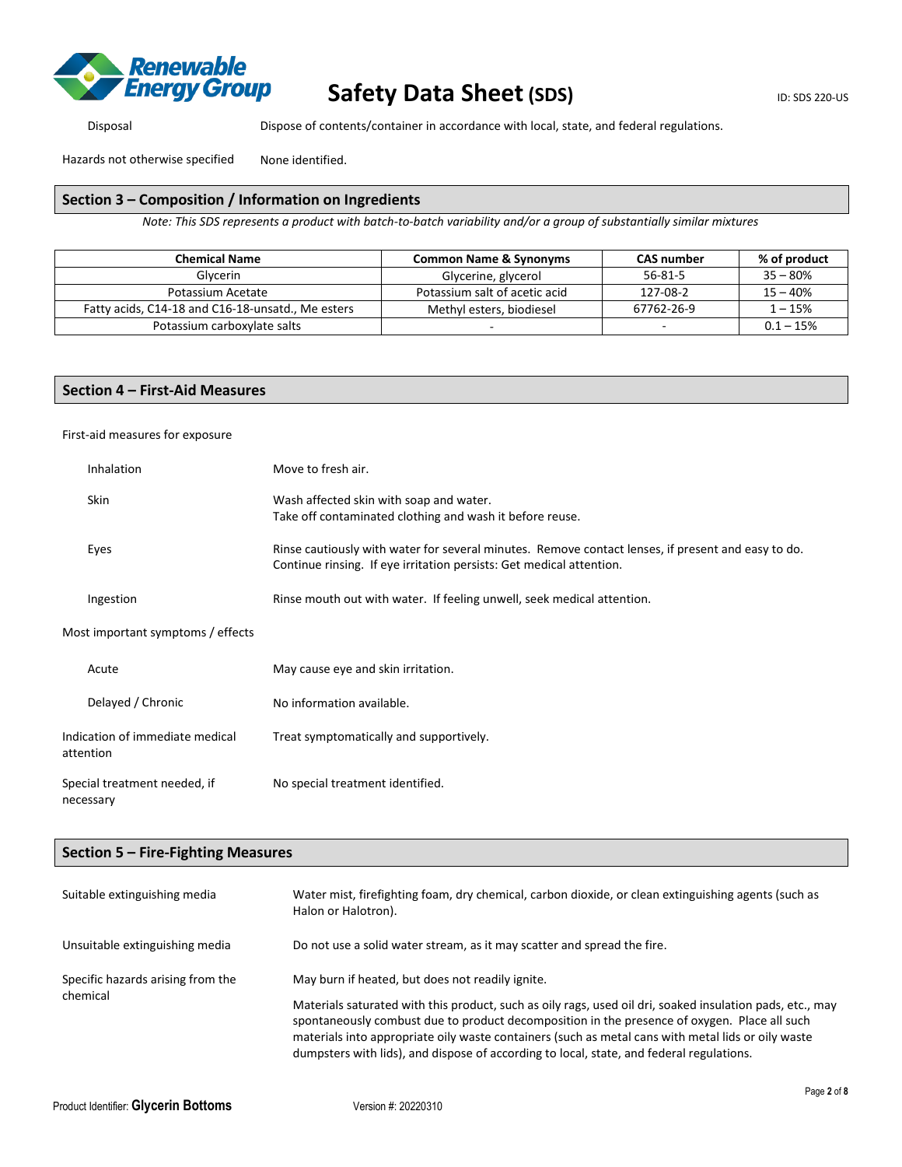

Disposal Dispose of contents/container in accordance with local, state, and federal regulations.

Hazards not otherwise specified None identified.

#### **Section 3 – Composition / Information on Ingredients**

*Note: This SDS represents a product with batch-to-batch variability and/or a group of substantially similar mixtures*

| <b>Chemical Name</b>                              | <b>Common Name &amp; Synonyms</b> | <b>CAS number</b> | % of product |
|---------------------------------------------------|-----------------------------------|-------------------|--------------|
| Glycerin                                          | Glycerine, glycerol               | 56-81-5           | $35 - 80%$   |
| Potassium Acetate                                 | Potassium salt of acetic acid     | 127-08-2          | $15 - 40%$   |
| Fatty acids, C14-18 and C16-18-unsatd., Me esters | Methyl esters, biodiesel          | 67762-26-9        | $1 - 15%$    |
| Potassium carboxylate salts                       |                                   | -                 | $0.1 - 15%$  |

#### **Section 4 – First-Aid Measures**

First-aid measures for exposure

| Inhalation                                   | Move to fresh air.                                                                                                                                                         |
|----------------------------------------------|----------------------------------------------------------------------------------------------------------------------------------------------------------------------------|
| <b>Skin</b>                                  | Wash affected skin with soap and water.<br>Take off contaminated clothing and wash it before reuse.                                                                        |
| Eyes                                         | Rinse cautiously with water for several minutes. Remove contact lenses, if present and easy to do.<br>Continue rinsing. If eye irritation persists: Get medical attention. |
| Ingestion                                    | Rinse mouth out with water. If feeling unwell, seek medical attention.                                                                                                     |
| Most important symptoms / effects            |                                                                                                                                                                            |
| Acute                                        | May cause eye and skin irritation.                                                                                                                                         |
| Delayed / Chronic                            | No information available.                                                                                                                                                  |
| Indication of immediate medical<br>attention | Treat symptomatically and supportively.                                                                                                                                    |
| Special treatment needed, if<br>necessary    | No special treatment identified.                                                                                                                                           |

### **Section 5 – Fire-Fighting Measures**

| Suitable extinguishing media      | Water mist, firefighting foam, dry chemical, carbon dioxide, or clean extinguishing agents (such as<br>Halon or Halotron).                                                                                                                                                                                                                                                                                  |
|-----------------------------------|-------------------------------------------------------------------------------------------------------------------------------------------------------------------------------------------------------------------------------------------------------------------------------------------------------------------------------------------------------------------------------------------------------------|
| Unsuitable extinguishing media    | Do not use a solid water stream, as it may scatter and spread the fire.                                                                                                                                                                                                                                                                                                                                     |
| Specific hazards arising from the | May burn if heated, but does not readily ignite.                                                                                                                                                                                                                                                                                                                                                            |
| chemical                          | Materials saturated with this product, such as oily rags, used oil dri, soaked insulation pads, etc., may<br>spontaneously combust due to product decomposition in the presence of oxygen. Place all such<br>materials into appropriate oily waste containers (such as metal cans with metal lids or oily waste<br>dumpsters with lids), and dispose of according to local, state, and federal regulations. |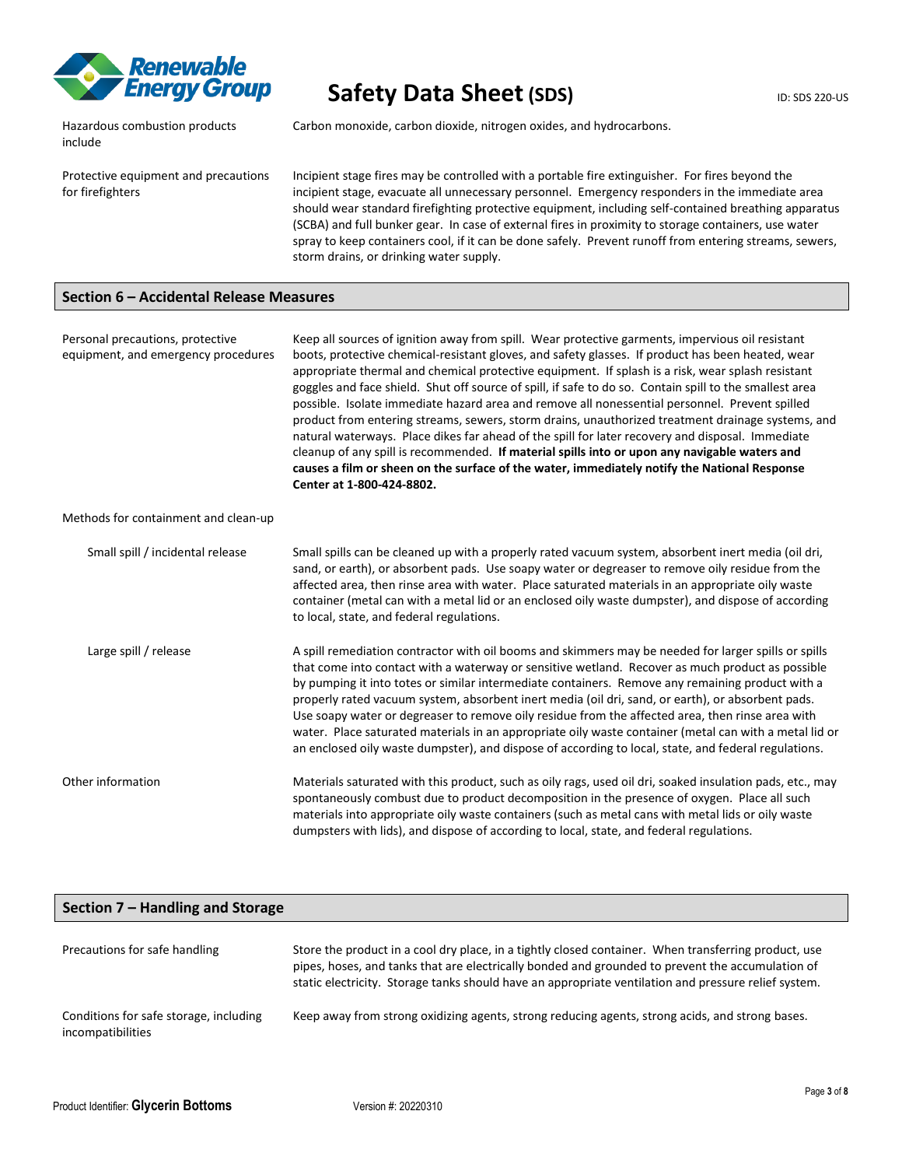

Hazardous combustion products include

Carbon monoxide, carbon dioxide, nitrogen oxides, and hydrocarbons.

Protective equipment and precautions for firefighters

Incipient stage fires may be controlled with a portable fire extinguisher. For fires beyond the incipient stage, evacuate all unnecessary personnel. Emergency responders in the immediate area should wear standard firefighting protective equipment, including self-contained breathing apparatus (SCBA) and full bunker gear. In case of external fires in proximity to storage containers, use water spray to keep containers cool, if it can be done safely. Prevent runoff from entering streams, sewers, storm drains, or drinking water supply.

### **Section 6 – Accidental Release Measures**

Personal precautions, protective equipment, and emergency procedures Keep all sources of ignition away from spill. Wear protective garments, impervious oil resistant boots, protective chemical-resistant gloves, and safety glasses. If product has been heated, wear appropriate thermal and chemical protective equipment. If splash is a risk, wear splash resistant goggles and face shield. Shut off source of spill, if safe to do so. Contain spill to the smallest area possible. Isolate immediate hazard area and remove all nonessential personnel. Prevent spilled product from entering streams, sewers, storm drains, unauthorized treatment drainage systems, and natural waterways. Place dikes far ahead of the spill for later recovery and disposal. Immediate cleanup of any spill is recommended. **If material spills into or upon any navigable waters and causes a film or sheen on the surface of the water, immediately notify the National Response Center at 1-800-424-8802.** Methods for containment and clean-up Small spill / incidental release Small spills can be cleaned up with a properly rated vacuum system, absorbent inert media (oil dri, sand, or earth), or absorbent pads. Use soapy water or degreaser to remove oily residue from the affected area, then rinse area with water. Place saturated materials in an appropriate oily waste container (metal can with a metal lid or an enclosed oily waste dumpster), and dispose of according to local, state, and federal regulations. Large spill / release A spill remediation contractor with oil booms and skimmers may be needed for larger spills or spills

that come into contact with a waterway or sensitive wetland. Recover as much product as possible by pumping it into totes or similar intermediate containers. Remove any remaining product with a properly rated vacuum system, absorbent inert media (oil dri, sand, or earth), or absorbent pads. Use soapy water or degreaser to remove oily residue from the affected area, then rinse area with water. Place saturated materials in an appropriate oily waste container (metal can with a metal lid or an enclosed oily waste dumpster), and dispose of according to local, state, and federal regulations.

Other information Materials saturated with this product, such as oily rags, used oil dri, soaked insulation pads, etc., may spontaneously combust due to product decomposition in the presence of oxygen. Place all such materials into appropriate oily waste containers (such as metal cans with metal lids or oily waste dumpsters with lids), and dispose of according to local, state, and federal regulations.

| Section 7 – Handling and Storage                            |                                                                                                                                                                                                                                                                                                                  |  |
|-------------------------------------------------------------|------------------------------------------------------------------------------------------------------------------------------------------------------------------------------------------------------------------------------------------------------------------------------------------------------------------|--|
| Precautions for safe handling                               | Store the product in a cool dry place, in a tightly closed container. When transferring product, use<br>pipes, hoses, and tanks that are electrically bonded and grounded to prevent the accumulation of<br>static electricity. Storage tanks should have an appropriate ventilation and pressure relief system. |  |
| Conditions for safe storage, including<br>incompatibilities | Keep away from strong oxidizing agents, strong reducing agents, strong acids, and strong bases.                                                                                                                                                                                                                  |  |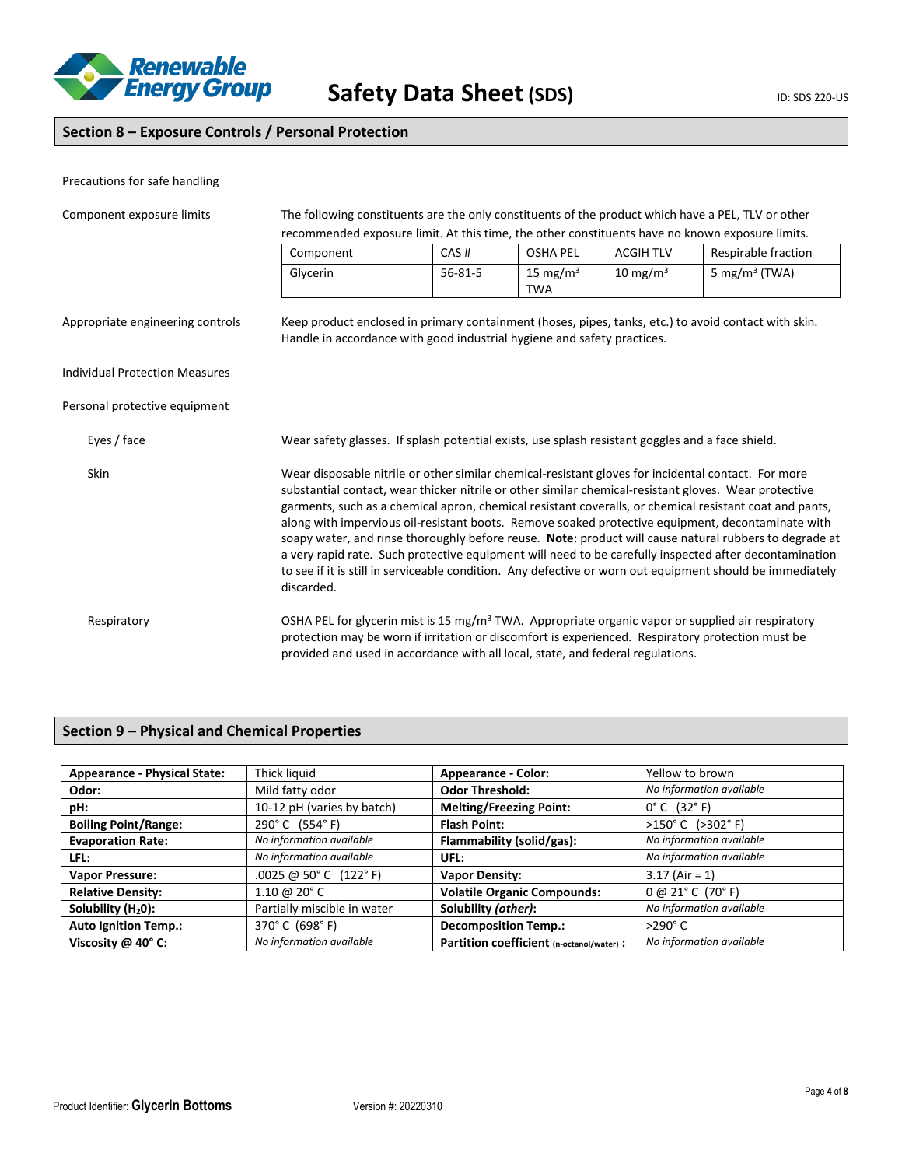

## **Section 8 – Exposure Controls / Personal Protection**

| Precautions for safe handling         |                                                                                                                                                                                                                                                                                                                                                                                                                                                                                                                                                                                                                                                                                                                                                                             |               |                           |                  |                                                                                                                                                                                                                    |
|---------------------------------------|-----------------------------------------------------------------------------------------------------------------------------------------------------------------------------------------------------------------------------------------------------------------------------------------------------------------------------------------------------------------------------------------------------------------------------------------------------------------------------------------------------------------------------------------------------------------------------------------------------------------------------------------------------------------------------------------------------------------------------------------------------------------------------|---------------|---------------------------|------------------|--------------------------------------------------------------------------------------------------------------------------------------------------------------------------------------------------------------------|
| Component exposure limits             | The following constituents are the only constituents of the product which have a PEL, TLV or other<br>recommended exposure limit. At this time, the other constituents have no known exposure limits.                                                                                                                                                                                                                                                                                                                                                                                                                                                                                                                                                                       |               |                           |                  |                                                                                                                                                                                                                    |
|                                       | Component                                                                                                                                                                                                                                                                                                                                                                                                                                                                                                                                                                                                                                                                                                                                                                   | CAS#          | <b>OSHA PEL</b>           | <b>ACGIH TLV</b> | Respirable fraction                                                                                                                                                                                                |
|                                       | Glycerin                                                                                                                                                                                                                                                                                                                                                                                                                                                                                                                                                                                                                                                                                                                                                                    | $56 - 81 - 5$ | 15 mg/m $3$<br><b>TWA</b> | 10 mg/m $3$      | 5 mg/m <sup>3</sup> (TWA)                                                                                                                                                                                          |
| Appropriate engineering controls      | Handle in accordance with good industrial hygiene and safety practices.                                                                                                                                                                                                                                                                                                                                                                                                                                                                                                                                                                                                                                                                                                     |               |                           |                  | Keep product enclosed in primary containment (hoses, pipes, tanks, etc.) to avoid contact with skin.                                                                                                               |
| <b>Individual Protection Measures</b> |                                                                                                                                                                                                                                                                                                                                                                                                                                                                                                                                                                                                                                                                                                                                                                             |               |                           |                  |                                                                                                                                                                                                                    |
| Personal protective equipment         |                                                                                                                                                                                                                                                                                                                                                                                                                                                                                                                                                                                                                                                                                                                                                                             |               |                           |                  |                                                                                                                                                                                                                    |
| Eyes / face                           | Wear safety glasses. If splash potential exists, use splash resistant goggles and a face shield.                                                                                                                                                                                                                                                                                                                                                                                                                                                                                                                                                                                                                                                                            |               |                           |                  |                                                                                                                                                                                                                    |
| Skin                                  | Wear disposable nitrile or other similar chemical-resistant gloves for incidental contact. For more<br>substantial contact, wear thicker nitrile or other similar chemical-resistant gloves. Wear protective<br>garments, such as a chemical apron, chemical resistant coveralls, or chemical resistant coat and pants,<br>along with impervious oil-resistant boots. Remove soaked protective equipment, decontaminate with<br>soapy water, and rinse thoroughly before reuse. Note: product will cause natural rubbers to degrade at<br>a very rapid rate. Such protective equipment will need to be carefully inspected after decontamination<br>to see if it is still in serviceable condition. Any defective or worn out equipment should be immediately<br>discarded. |               |                           |                  |                                                                                                                                                                                                                    |
| Respiratory                           | provided and used in accordance with all local, state, and federal regulations.                                                                                                                                                                                                                                                                                                                                                                                                                                                                                                                                                                                                                                                                                             |               |                           |                  | OSHA PEL for glycerin mist is 15 mg/m <sup>3</sup> TWA. Appropriate organic vapor or supplied air respiratory<br>protection may be worn if irritation or discomfort is experienced. Respiratory protection must be |

## **Section 9 – Physical and Chemical Properties**

| <b>Appearance - Physical State:</b> | Thick liquid                | <b>Appearance - Color:</b>                | Yellow to brown                      |
|-------------------------------------|-----------------------------|-------------------------------------------|--------------------------------------|
| Odor:                               | Mild fatty odor             | <b>Odor Threshold:</b>                    | No information available             |
| pH:                                 | 10-12 pH (varies by batch)  | <b>Melting/Freezing Point:</b>            | $0^{\circ}$ C $(32^{\circ}$ F)       |
| <b>Boiling Point/Range:</b>         | 290°C (554°F)               | <b>Flash Point:</b>                       | $>150^{\circ}$ C ( $>302^{\circ}$ F) |
| <b>Evaporation Rate:</b>            | No information available    | Flammability (solid/gas):                 | No information available             |
| LFL:                                | No information available    | UFL:                                      | No information available             |
| <b>Vapor Pressure:</b>              | $.0025$ @ 50° C (122° F)    | <b>Vapor Density:</b>                     | $3.17$ (Air = 1)                     |
| <b>Relative Density:</b>            | 1.10 @ 20 $^{\circ}$ C      | <b>Volatile Organic Compounds:</b>        | 0 @ 21° C (70° F)                    |
| Solubility (H <sub>2</sub> 0):      | Partially miscible in water | Solubility (other):                       | No information available             |
| <b>Auto Ignition Temp.:</b>         | 370°C (698°F)               | <b>Decomposition Temp.:</b>               | $>290^\circ C$                       |
| Viscosity @ 40° C:                  | No information available    | Partition coefficient (n-octanol/water) : | No information available             |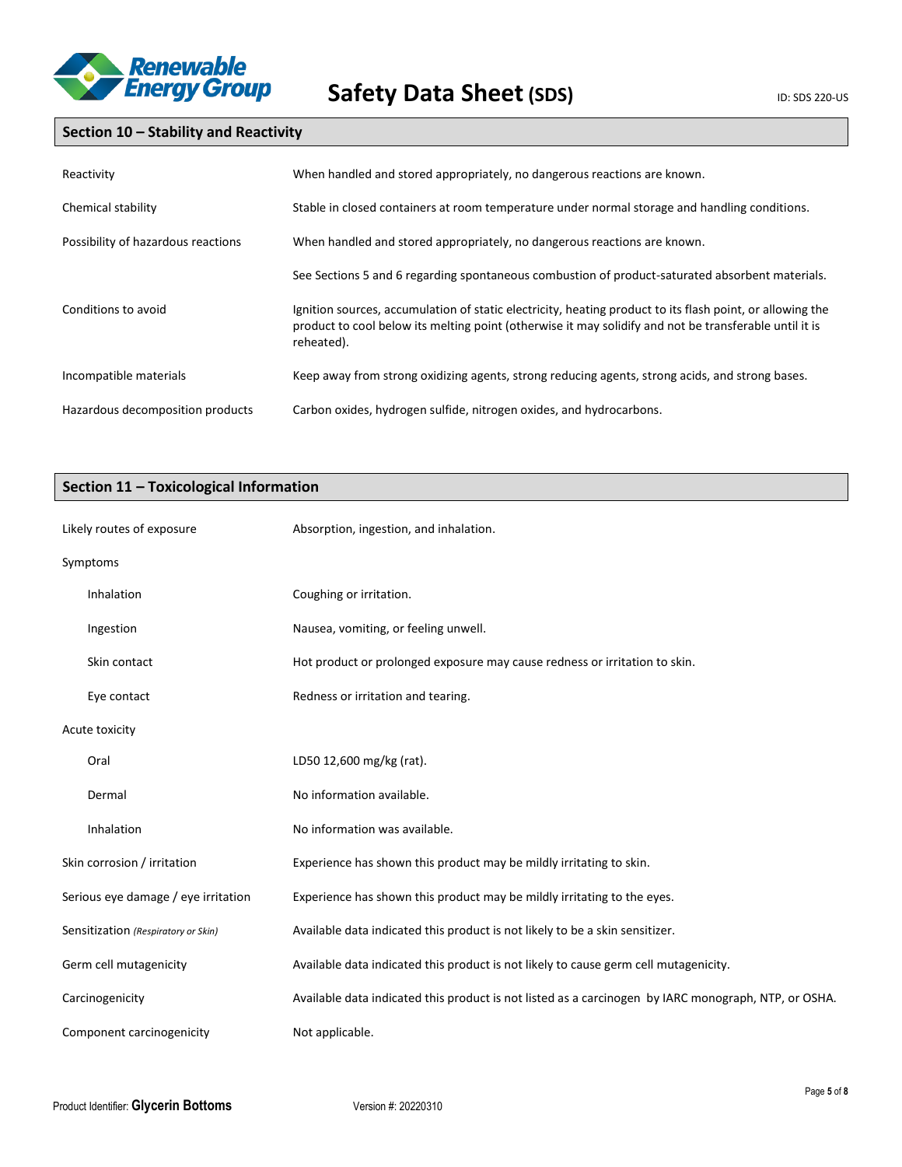

# **Section 10 – Stability and Reactivity**

| Reactivity                         | When handled and stored appropriately, no dangerous reactions are known.                                                                                                                                                          |
|------------------------------------|-----------------------------------------------------------------------------------------------------------------------------------------------------------------------------------------------------------------------------------|
| Chemical stability                 | Stable in closed containers at room temperature under normal storage and handling conditions.                                                                                                                                     |
| Possibility of hazardous reactions | When handled and stored appropriately, no dangerous reactions are known.                                                                                                                                                          |
|                                    | See Sections 5 and 6 regarding spontaneous combustion of product-saturated absorbent materials.                                                                                                                                   |
| Conditions to avoid                | Ignition sources, accumulation of static electricity, heating product to its flash point, or allowing the<br>product to cool below its melting point (otherwise it may solidify and not be transferable until it is<br>reheated). |
| Incompatible materials             | Keep away from strong oxidizing agents, strong reducing agents, strong acids, and strong bases.                                                                                                                                   |
| Hazardous decomposition products   | Carbon oxides, hydrogen sulfide, nitrogen oxides, and hydrocarbons.                                                                                                                                                               |

## **Section 11 – Toxicological Information**

| Likely routes of exposure           | Absorption, ingestion, and inhalation.                                                               |
|-------------------------------------|------------------------------------------------------------------------------------------------------|
| Symptoms                            |                                                                                                      |
| Inhalation                          | Coughing or irritation.                                                                              |
| Ingestion                           | Nausea, vomiting, or feeling unwell.                                                                 |
| Skin contact                        | Hot product or prolonged exposure may cause redness or irritation to skin.                           |
| Eye contact                         | Redness or irritation and tearing.                                                                   |
| Acute toxicity                      |                                                                                                      |
| Oral                                | LD50 12,600 mg/kg (rat).                                                                             |
| Dermal                              | No information available.                                                                            |
| Inhalation                          | No information was available.                                                                        |
| Skin corrosion / irritation         | Experience has shown this product may be mildly irritating to skin.                                  |
| Serious eye damage / eye irritation | Experience has shown this product may be mildly irritating to the eyes.                              |
| Sensitization (Respiratory or Skin) | Available data indicated this product is not likely to be a skin sensitizer.                         |
| Germ cell mutagenicity              | Available data indicated this product is not likely to cause germ cell mutagenicity.                 |
| Carcinogenicity                     | Available data indicated this product is not listed as a carcinogen by IARC monograph, NTP, or OSHA. |
| Component carcinogenicity           | Not applicable.                                                                                      |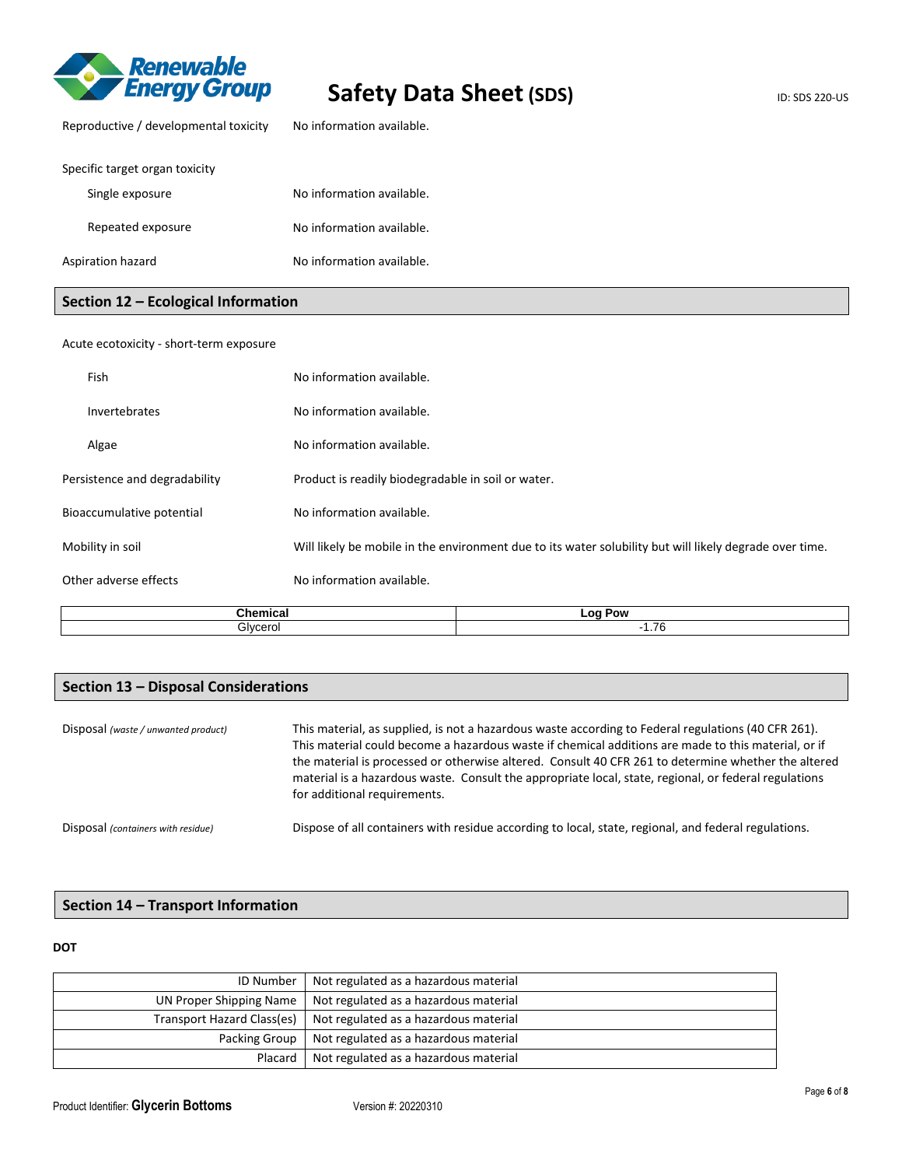

| Reproductive / developmental toxicity | No information available. |
|---------------------------------------|---------------------------|
| Specific target organ toxicity        |                           |
| Single exposure                       | No information available. |
| Repeated exposure                     | No information available. |
| Aspiration hazard                     | No information available. |

## **Section 12 – Ecological Information**

| Fish                          | No information available. |                                                                                                         |  |  |
|-------------------------------|---------------------------|---------------------------------------------------------------------------------------------------------|--|--|
| <b>Invertebrates</b>          | No information available. |                                                                                                         |  |  |
| Algae                         | No information available. |                                                                                                         |  |  |
| Persistence and degradability |                           | Product is readily biodegradable in soil or water.                                                      |  |  |
| Bioaccumulative potential     | No information available. |                                                                                                         |  |  |
| Mobility in soil              |                           | Will likely be mobile in the environment due to its water solubility but will likely degrade over time. |  |  |
| Other adverse effects         | No information available. |                                                                                                         |  |  |
|                               | <b>Chemical</b>           | Log Pow                                                                                                 |  |  |
|                               | Glycerol                  | $-1.76$                                                                                                 |  |  |

## **Section 13 – Disposal Considerations**

| Disposal (waste / unwanted product) | This material, as supplied, is not a hazardous waste according to Federal regulations (40 CFR 261).<br>This material could become a hazardous waste if chemical additions are made to this material, or if<br>the material is processed or otherwise altered. Consult 40 CFR 261 to determine whether the altered<br>material is a hazardous waste. Consult the appropriate local, state, regional, or federal regulations<br>for additional requirements. |
|-------------------------------------|------------------------------------------------------------------------------------------------------------------------------------------------------------------------------------------------------------------------------------------------------------------------------------------------------------------------------------------------------------------------------------------------------------------------------------------------------------|
| Disposal (containers with residue)  | Dispose of all containers with residue according to local, state, regional, and federal regulations.                                                                                                                                                                                                                                                                                                                                                       |

# **Section 14 – Transport Information**

**DOT** 

| <b>ID Number</b>           | Not regulated as a hazardous material |
|----------------------------|---------------------------------------|
| UN Proper Shipping Name    | Not regulated as a hazardous material |
| Transport Hazard Class(es) | Not regulated as a hazardous material |
| Packing Group              | Not regulated as a hazardous material |
| Placard                    | Not regulated as a hazardous material |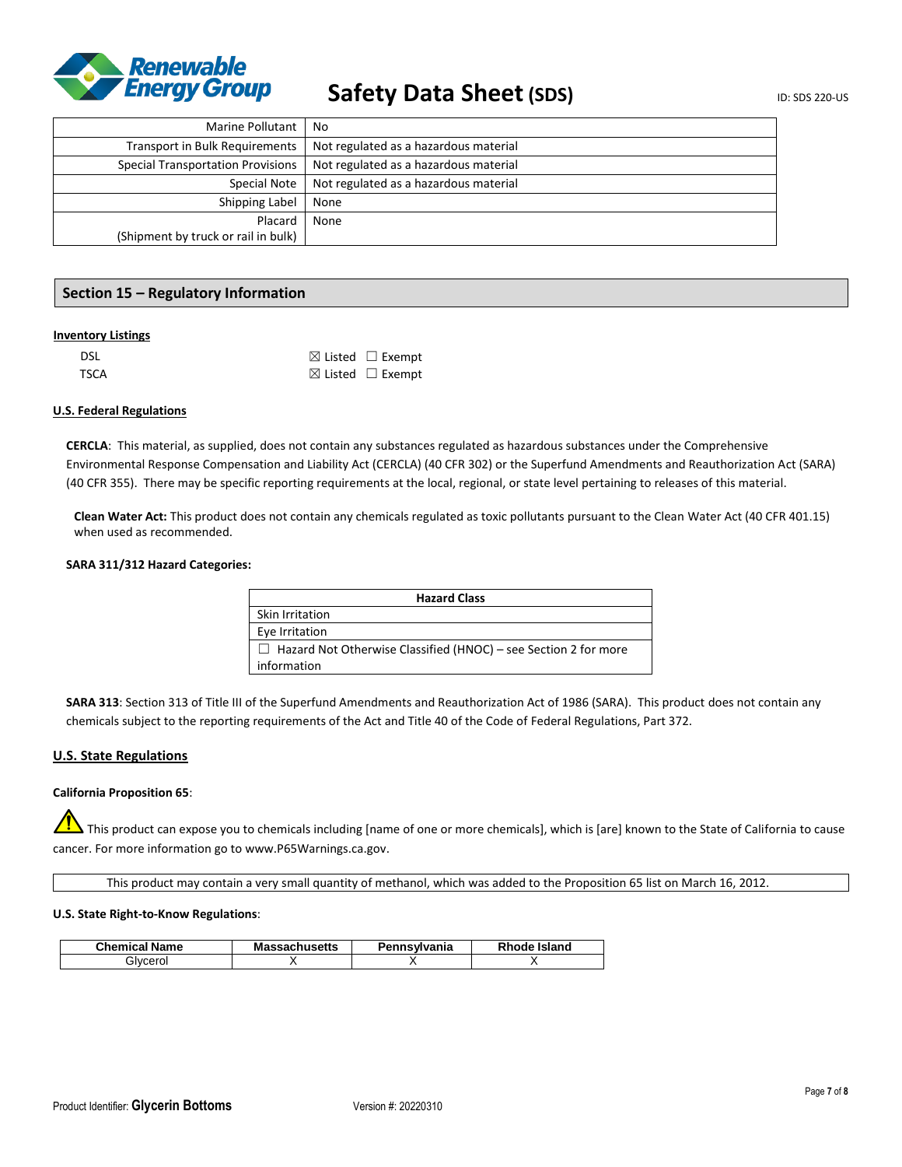

| Marine Pollutant                         | No                                    |
|------------------------------------------|---------------------------------------|
| <b>Transport in Bulk Requirements</b>    | Not regulated as a hazardous material |
| <b>Special Transportation Provisions</b> | Not regulated as a hazardous material |
| Special Note                             | Not regulated as a hazardous material |
| Shipping Label                           | None                                  |
| Placard                                  | None                                  |
| (Shipment by truck or rail in bulk)      |                                       |

### **Section 15 – Regulatory Information**

#### **Inventory Listings**

| <b>DSL</b>  | $\boxtimes$ Listed $\Box$ Exempt |
|-------------|----------------------------------|
| <b>TSCA</b> | $\boxtimes$ Listed $\Box$ Exempt |

#### **U.S. Federal Regulations**

**CERCLA**: This material, as supplied, does not contain any substances regulated as hazardous substances under the Comprehensive Environmental Response Compensation and Liability Act (CERCLA) (40 CFR 302) or the Superfund Amendments and Reauthorization Act (SARA) (40 CFR 355). There may be specific reporting requirements at the local, regional, or state level pertaining to releases of this material.

**Clean Water Act:** This product does not contain any chemicals regulated as toxic pollutants pursuant to the Clean Water Act (40 CFR 401.15) when used as recommended.

#### **SARA 311/312 Hazard Categories:**

| <b>Hazard Class</b>                                                    |  |  |
|------------------------------------------------------------------------|--|--|
| Skin Irritation                                                        |  |  |
| Eye Irritation                                                         |  |  |
| $\Box$ Hazard Not Otherwise Classified (HNOC) – see Section 2 for more |  |  |
| information                                                            |  |  |

**SARA 313**: Section 313 of Title III of the Superfund Amendments and Reauthorization Act of 1986 (SARA). This product does not contain any chemicals subject to the reporting requirements of the Act and Title 40 of the Code of Federal Regulations, Part 372.

#### **U.S. State Regulations**

#### **California Proposition 65**:

This product can expose you to chemicals including [name of one or more chemicals], which is [are] known to the State of California to cause cancer. For more information go to www.P65Warnings.ca.gov.

This product may contain a very small quantity of methanol, which was added to the Proposition 65 list on March 16, 2012.

#### **U.S. State Right-to-Know Regulations**:

| <b>Chemical Name</b> | <b>Massachusetts</b> | Pennsylvania | Rhode Island |
|----------------------|----------------------|--------------|--------------|
| Blvcerol             |                      |              |              |